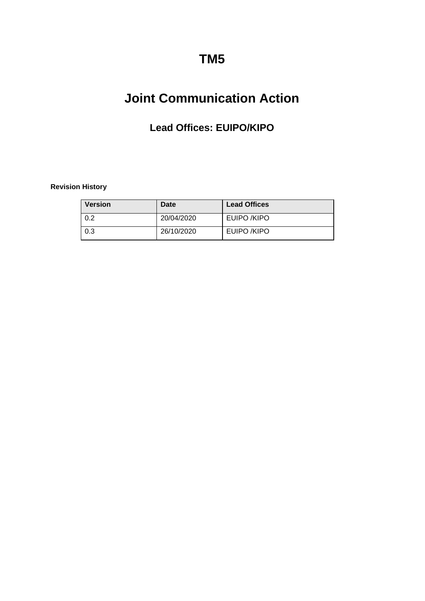# **TM5**

# **Joint Communication Action**

# **Lead Offices: EUIPO/KIPO**

### <span id="page-0-0"></span>**Revision History**

| <b>Version</b> | Date       | <b>Lead Offices</b> |
|----------------|------------|---------------------|
| 0.2            | 20/04/2020 | EUIPO /KIPO         |
| 0.3            | 26/10/2020 | EUIPO /KIPO         |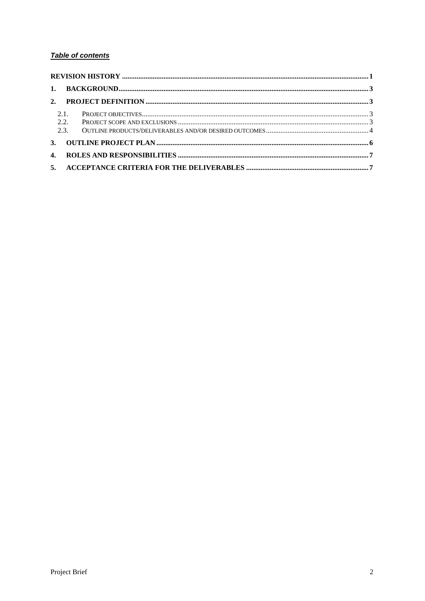## Table of contents

| 2.1.<br>2.2. |  |  |  |
|--------------|--|--|--|
|              |  |  |  |
| $\mathbf{4}$ |  |  |  |
|              |  |  |  |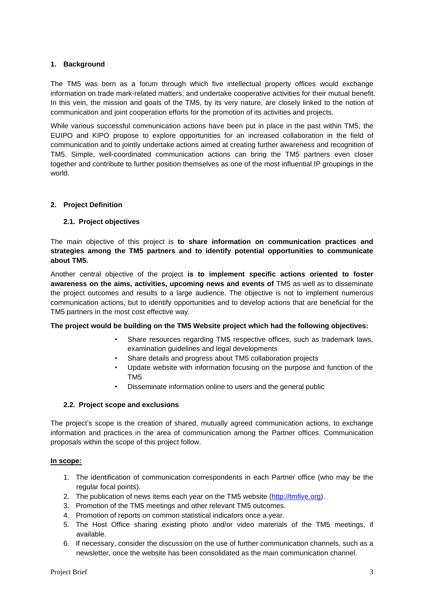#### <span id="page-2-0"></span>**1. Background**

The TM5 was born as a forum through which five intellectual property offices would exchange information on trade mark-related matters, and undertake cooperative activities for their mutual benefit. In this vein, the mission and goals of the TM5, by its very nature, are closely linked to the notion of communication and joint cooperation efforts for the promotion of its activities and projects.

While various successful communication actions have been put in place in the past within TM5, the EUIPO and KIPO propose to explore opportunities for an increased collaboration in the field of communication and to jointly undertake actions aimed at creating further awareness and recognition of TM5. Simple, well-coordinated communication actions can bring the TM5 partners even closer together and contribute to further position themselves as one of the most influential IP groupings in the world.

#### <span id="page-2-2"></span><span id="page-2-1"></span>**2. Project Definition**

#### **2.1. Project objectives**

The main objective of this project is **to share information on communication practices and strategies among the TM5 partners and to identify potential opportunities to communicate about TM5.**

Another central objective of the project **is to implement specific actions oriented to foster awareness on the aims, activities, upcoming news and events of** TM5 as well as to disseminate the project outcomes and results to a large audience. The objective is not to implement numerous communication actions, but to identify opportunities and to develop actions that are beneficial for the TM5 partners in the most cost effective way.

#### **The project would be building on the TM5 Website project which had the following objectives:**

- Share resources regarding TM5 respective offices, such as trademark laws, examination guidelines and legal developments
- Share details and progress about TM5 collaboration projects
- Update website with information focusing on the purpose and function of the TM5
- Disseminate information online to users and the general public

#### <span id="page-2-3"></span>**2.2. Project scope and exclusions**

The project's scope is the creation of shared, mutually agreed communication actions, to exchange information and practices in the area of communication among the Partner offices. Communication proposals within the scope of this project follow.

#### **In scope:**

- 1. The identification of communication correspondents in each Partner office (who may be the regular focal points).
- 2. The publication of news items each year on the TM5 website [\(http://tmfive.org\)](http://tmfive.org/).
- 3. Promotion of the TM5 meetings and other relevant TM5 outcomes.
- 4. Promotion of reports on common statistical indicators once a year.
- 5. The Host Office sharing existing photo and/or video materials of the TM5 meetings, if available.
- 6. If necessary, consider the discussion on the use of further communication channels, such as a newsletter, once the website has been consolidated as the main communication channel.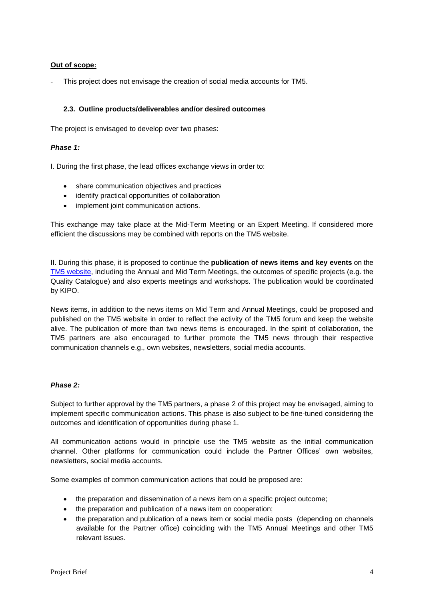#### **Out of scope:**

This project does not envisage the creation of social media accounts for TM5.

#### <span id="page-3-0"></span>**2.3. Outline products/deliverables and/or desired outcomes**

The project is envisaged to develop over two phases:

#### *Phase 1:*

I. During the first phase, the lead offices exchange views in order to:

- share communication objectives and practices
- identify practical opportunities of collaboration
- implement joint communication actions.

This exchange may take place at the Mid-Term Meeting or an Expert Meeting. If considered more efficient the discussions may be combined with reports on the TM5 website.

II. During this phase, it is proposed to continue the **publication of news items and key events** on the [TM5 website,](http://tmfive.org/news/) including the Annual and Mid Term Meetings, the outcomes of specific projects (e.g. the Quality Catalogue) and also experts meetings and workshops. The publication would be coordinated by KIPO.

News items, in addition to the news items on Mid Term and Annual Meetings, could be proposed and published on the TM5 website in order to reflect the activity of the TM5 forum and keep the website alive. The publication of more than two news items is encouraged. In the spirit of collaboration, the TM5 partners are also encouraged to further promote the TM5 news through their respective communication channels e.g., own websites, newsletters, social media accounts.

#### *Phase 2:*

Subject to further approval by the TM5 partners, a phase 2 of this project may be envisaged, aiming to implement specific communication actions. This phase is also subject to be fine-tuned considering the outcomes and identification of opportunities during phase 1.

All communication actions would in principle use the TM5 website as the initial communication channel. Other platforms for communication could include the Partner Offices' own websites, newsletters, social media accounts.

Some examples of common communication actions that could be proposed are:

- the preparation and dissemination of a news item on a specific project outcome;
- the preparation and publication of a news item on cooperation;
- the preparation and publication of a news item or social media posts (depending on channels available for the Partner office) coinciding with the TM5 Annual Meetings and other TM5 relevant issues.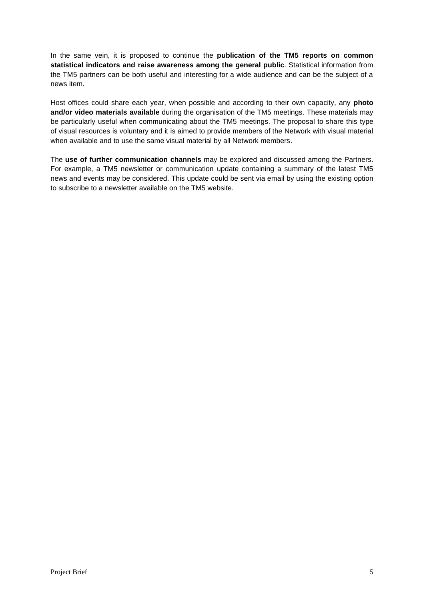In the same vein, it is proposed to continue the **publication of the TM5 reports on common statistical indicators and raise awareness among the general public**. Statistical information from the TM5 partners can be both useful and interesting for a wide audience and can be the subject of a news item.

Host offices could share each year, when possible and according to their own capacity, any **photo and/or video materials available** during the organisation of the TM5 meetings. These materials may be particularly useful when communicating about the TM5 meetings. The proposal to share this type of visual resources is voluntary and it is aimed to provide members of the Network with visual material when available and to use the same visual material by all Network members.

The **use of further communication channels** may be explored and discussed among the Partners. For example, a TM5 newsletter or communication update containing a summary of the latest TM5 news and events may be considered. This update could be sent via email by using the existing option to subscribe to a newsletter available on the TM5 website.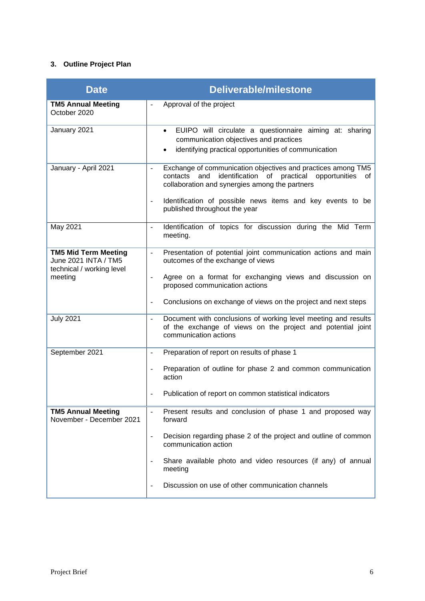## <span id="page-5-0"></span>**3. Outline Project Plan**

| <b>Date</b>                                                                      | <b>Deliverable/milestone</b>                                                                                                                                                                         |
|----------------------------------------------------------------------------------|------------------------------------------------------------------------------------------------------------------------------------------------------------------------------------------------------|
| <b>TM5 Annual Meeting</b><br>October 2020                                        | Approval of the project                                                                                                                                                                              |
| January 2021                                                                     | EUIPO will circulate a questionnaire aiming at: sharing<br>$\bullet$<br>communication objectives and practices<br>identifying practical opportunities of communication<br>$\bullet$                  |
| January - April 2021                                                             | Exchange of communication objectives and practices among TM5<br>$\mathbf{r}$<br>identification of practical opportunities<br>contacts<br>and<br>of<br>collaboration and synergies among the partners |
|                                                                                  | Identification of possible news items and key events to be<br>$\blacksquare$<br>published throughout the year                                                                                        |
| May 2021                                                                         | Identification of topics for discussion during the Mid Term<br>$\equiv$<br>meeting.                                                                                                                  |
| <b>TM5 Mid Term Meeting</b><br>June 2021 INTA / TM5<br>technical / working level | Presentation of potential joint communication actions and main<br>$\omega$<br>outcomes of the exchange of views                                                                                      |
| meeting                                                                          | Agree on a format for exchanging views and discussion on<br>$\overline{\phantom{a}}$<br>proposed communication actions                                                                               |
|                                                                                  | Conclusions on exchange of views on the project and next steps<br>$\overline{\phantom{a}}$                                                                                                           |
| <b>July 2021</b>                                                                 | Document with conclusions of working level meeting and results<br>of the exchange of views on the project and potential joint<br>communication actions                                               |
| September 2021                                                                   | Preparation of report on results of phase 1                                                                                                                                                          |
|                                                                                  | Preparation of outline for phase 2 and common communication<br>÷,<br>action                                                                                                                          |
|                                                                                  | Publication of report on common statistical indicators                                                                                                                                               |
| <b>TM5 Annual Meeting</b><br>November - December 2021                            | Present results and conclusion of phase 1 and proposed way<br>forward                                                                                                                                |
|                                                                                  | Decision regarding phase 2 of the project and outline of common<br>$\overline{\phantom{a}}$<br>communication action                                                                                  |
|                                                                                  | Share available photo and video resources (if any) of annual<br>meeting                                                                                                                              |
|                                                                                  | Discussion on use of other communication channels                                                                                                                                                    |